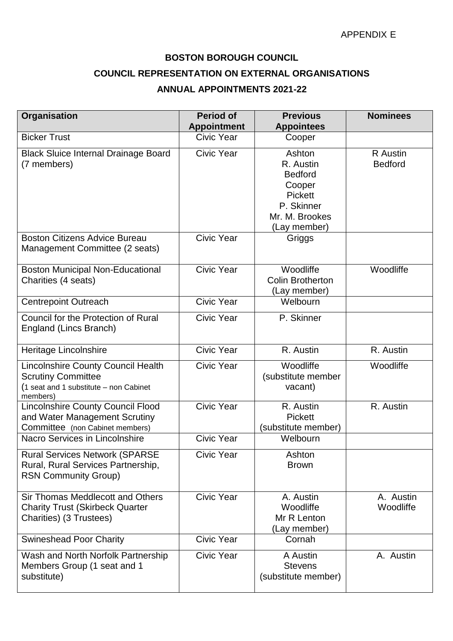## **BOSTON BOROUGH COUNCIL**

## **COUNCIL REPRESENTATION ON EXTERNAL ORGANISATIONS**

## **ANNUAL APPOINTMENTS 2021-22**

| Organisation                                                                                                          | <b>Period of</b><br><b>Appointment</b> | <b>Previous</b><br><b>Appointees</b>                                                                              | <b>Nominees</b>            |
|-----------------------------------------------------------------------------------------------------------------------|----------------------------------------|-------------------------------------------------------------------------------------------------------------------|----------------------------|
| <b>Bicker Trust</b>                                                                                                   | <b>Civic Year</b>                      | Cooper                                                                                                            |                            |
| <b>Black Sluice Internal Drainage Board</b><br>(7 members)                                                            | <b>Civic Year</b>                      | Ashton<br>R. Austin<br><b>Bedford</b><br>Cooper<br><b>Pickett</b><br>P. Skinner<br>Mr. M. Brookes<br>(Lay member) | R Austin<br><b>Bedford</b> |
| <b>Boston Citizens Advice Bureau</b><br>Management Committee (2 seats)                                                | Civic Year                             | Griggs                                                                                                            |                            |
| <b>Boston Municipal Non-Educational</b><br>Charities (4 seats)                                                        | Civic Year                             | Woodliffe<br><b>Colin Brotherton</b><br>(Lay member)                                                              | Woodliffe                  |
| <b>Centrepoint Outreach</b>                                                                                           | Civic Year                             | Welbourn                                                                                                          |                            |
| Council for the Protection of Rural<br>England (Lincs Branch)                                                         | Civic Year                             | P. Skinner                                                                                                        |                            |
| Heritage Lincolnshire                                                                                                 | <b>Civic Year</b>                      | R. Austin                                                                                                         | R. Austin                  |
| Lincolnshire County Council Health<br><b>Scrutiny Committee</b><br>(1 seat and 1 substitute - non Cabinet<br>members) | <b>Civic Year</b>                      | Woodliffe<br>(substitute member<br>vacant)                                                                        | Woodliffe                  |
| <b>Lincolnshire County Council Flood</b><br>and Water Management Scrutiny<br>Committee (non Cabinet members)          | Civic Year                             | R. Austin<br><b>Pickett</b><br>(substitute member)                                                                | R. Austin                  |
| Nacro Services in Lincolnshire                                                                                        | Civic Year                             | Welbourn                                                                                                          |                            |
| <b>Rural Services Network (SPARSE</b><br>Rural, Rural Services Partnership,<br><b>RSN Community Group)</b>            | Civic Year                             | Ashton<br><b>Brown</b>                                                                                            |                            |
| Sir Thomas Meddlecott and Others<br><b>Charity Trust (Skirbeck Quarter</b><br>Charities) (3 Trustees)                 | Civic Year                             | A. Austin<br>Woodliffe<br>Mr R Lenton<br>(Lay member)                                                             | A. Austin<br>Woodliffe     |
| <b>Swineshead Poor Charity</b>                                                                                        | Civic Year                             | Cornah                                                                                                            |                            |
| Wash and North Norfolk Partnership<br>Members Group (1 seat and 1<br>substitute)                                      | <b>Civic Year</b>                      | A Austin<br><b>Stevens</b><br>(substitute member)                                                                 | A. Austin                  |